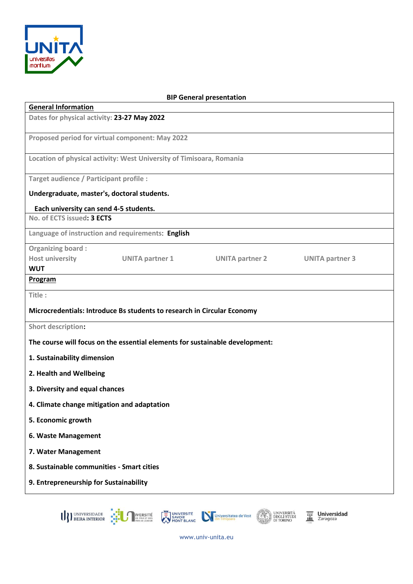

| <b>BIP General presentation</b>                                                               |
|-----------------------------------------------------------------------------------------------|
| <b>General Information</b>                                                                    |
| Dates for physical activity: 23-27 May 2022                                                   |
| Proposed period for virtual component: May 2022                                               |
| Location of physical activity: West University of Timisoara, Romania                          |
| Target audience / Participant profile :                                                       |
| Undergraduate, master's, doctoral students.                                                   |
| Each university can send 4-5 students.                                                        |
| No. of ECTS issued: 3 ECTS                                                                    |
| Language of instruction and requirements: English                                             |
| <b>Organizing board:</b>                                                                      |
| <b>Host university</b><br>UNITA partner 1<br><b>UNITA partner 2</b><br><b>UNITA partner 3</b> |
| <b>WUT</b>                                                                                    |
| Program                                                                                       |
| Title:                                                                                        |
| Microcredentials: Introduce Bs students to research in Circular Economy                       |
| <b>Short description:</b>                                                                     |
| The course will focus on the essential elements for sustainable development:                  |
| 1. Sustainability dimension                                                                   |
| 2. Health and Wellbeing                                                                       |
| 3. Diversity and equal chances                                                                |
| 4. Climate change mitigation and adaptation                                                   |
| 5. Economic growth                                                                            |
| 6. Waste Management                                                                           |
| 7. Water Management                                                                           |
| 8. Sustainable communities - Smart cities                                                     |
| 9. Entrepreneurship for Sustainability                                                        |
|                                                                                               |

U) UNIVERSIDADE EN VERSITÉ

UNIVERSITÉ<br>SAVOIE MONT BLANC MONTELANC DE CLARA DE DEGLI STUDI<br>MONT BLANC MONTELANC DI TORINO

 $\overline{\mathbf{m}}$  Universidad